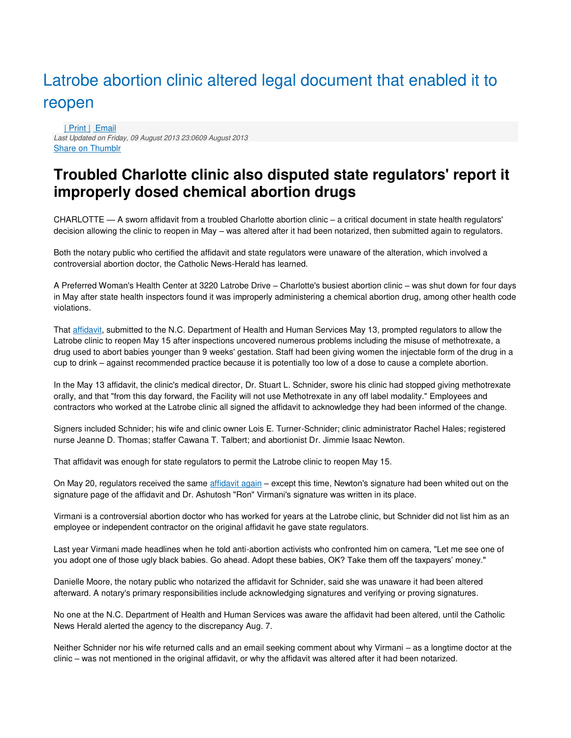## Latrobe abortion clinic altered legal document that enabled it to reopen

[| Print |](http://catholicnewsherald.com/features/local/53-news/roknewspager-local/3936-latrobe-clinic-altered-legal-document-that-enabled-it-to-reopen?tmpl=component&print=1&page=) [Email](http://catholicnewsherald.com/component/mailto/?tmpl=component&template=rt_solarsentinel&link=c3a08a7f298cb18b419c8cdad986067292d72e96) Last Updated on Friday, 09 August 2013 23:0609 August 2013 [Share on Thumblr](http://www.tumblr.com/share)

## **Troubled Charlotte clinic also disputed state regulators' report it improperly dosed chemical abortion drugs**

CHARLOTTE — A sworn affidavit from a troubled Charlotte abortion clinic – a critical document in state health regulators' decision allowing the clinic to reopen in May – was altered after it had been notarized, then submitted again to regulators.

Both the notary public who certified the affidavit and state regulators were unaware of the alteration, which involved a controversial abortion doctor, the Catholic News-Herald has learned.

A Preferred Woman's Health Center at 3220 Latrobe Drive – Charlotte's busiest abortion clinic – was shut down for four days in May after state health inspectors found it was improperly administering a chemical abortion drug, among other health code violations.

That [affidavit,](http://catholicnewsherald.com/images/stories/News_Local13/Latrobe_affidavit_05_13_13.pdf) submitted to the N.C. Department of Health and Human Services May 13, prompted regulators to allow the Latrobe clinic to reopen May 15 after inspections uncovered numerous problems including the misuse of methotrexate, a drug used to abort babies younger than 9 weeks' gestation. Staff had been giving women the injectable form of the drug in a cup to drink – against recommended practice because it is potentially too low of a dose to cause a complete abortion.

In the May 13 affidavit, the clinic's medical director, Dr. Stuart L. Schnider, swore his clinic had stopped giving methotrexate orally, and that "from this day forward, the Facility will not use Methotrexate in any off label modality." Employees and contractors who worked at the Latrobe clinic all signed the affidavit to acknowledge they had been informed of the change.

Signers included Schnider; his wife and clinic owner Lois E. Turner-Schnider; clinic administrator Rachel Hales; registered nurse Jeanne D. Thomas; staffer Cawana T. Talbert; and abortionist Dr. Jimmie Isaac Newton.

That affidavit was enough for state regulators to permit the Latrobe clinic to reopen May 15.

On May 20, regulators received the same [affidavit again](http://catholicnewsherald.com/images/stories/News_Local13/Latrobe_affidavit_05_20_13.pdf) – except this time, Newton's signature had been whited out on the signature page of the affidavit and Dr. Ashutosh "Ron" Virmani's signature was written in its place.

Virmani is a controversial abortion doctor who has worked for years at the Latrobe clinic, but Schnider did not list him as an employee or independent contractor on the original affidavit he gave state regulators.

Last year Virmani made headlines when he told anti-abortion activists who confronted him on camera, "Let me see one of you adopt one of those ugly black babies. Go ahead. Adopt these babies, OK? Take them off the taxpayers' money."

Danielle Moore, the notary public who notarized the affidavit for Schnider, said she was unaware it had been altered afterward. A notary's primary responsibilities include acknowledging signatures and verifying or proving signatures.

No one at the N.C. Department of Health and Human Services was aware the affidavit had been altered, until the Catholic News Herald alerted the agency to the discrepancy Aug. 7.

Neither Schnider nor his wife returned calls and an email seeking comment about why Virmani – as a longtime doctor at the clinic – was not mentioned in the original affidavit, or why the affidavit was altered after it had been notarized.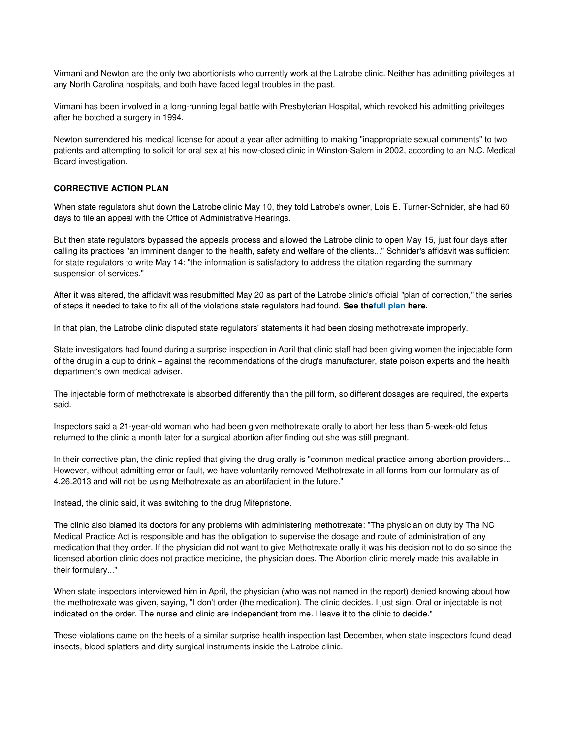Virmani and Newton are the only two abortionists who currently work at the Latrobe clinic. Neither has admitting privileges at any North Carolina hospitals, and both have faced legal troubles in the past.

Virmani has been involved in a long-running legal battle with Presbyterian Hospital, which revoked his admitting privileges after he botched a surgery in 1994.

Newton surrendered his medical license for about a year after admitting to making "inappropriate sexual comments" to two patients and attempting to solicit for oral sex at his now-closed clinic in Winston-Salem in 2002, according to an N.C. Medical Board investigation.

## **CORRECTIVE ACTION PLAN**

When state regulators shut down the Latrobe clinic May 10, they told Latrobe's owner, Lois E. Turner-Schnider, she had 60 days to file an appeal with the Office of Administrative Hearings.

But then state regulators bypassed the appeals process and allowed the Latrobe clinic to open May 15, just four days after calling its practices "an imminent danger to the health, safety and welfare of the clients..." Schnider's affidavit was sufficient for state regulators to write May 14: "the information is satisfactory to address the citation regarding the summary suspension of services."

After it was altered, the affidavit was resubmitted May 20 as part of the Latrobe clinic's official "plan of correction," the series of steps it needed to take to fix all of the violations state regulators had found. **See th[efull plan h](http://catholicnewsherald.com/images/stories/News_Local13/Latrobe_correction_plan_05_20_13.pdf)ere.**

In that plan, the Latrobe clinic disputed state regulators' statements it had been dosing methotrexate improperly.

State investigators had found during a surprise inspection in April that clinic staff had been giving women the injectable form of the drug in a cup to drink – against the recommendations of the drug's manufacturer, state poison experts and the health department's own medical adviser.

The injectable form of methotrexate is absorbed differently than the pill form, so different dosages are required, the experts said.

Inspectors said a 21-year-old woman who had been given methotrexate orally to abort her less than 5-week-old fetus returned to the clinic a month later for a surgical abortion after finding out she was still pregnant.

In their corrective plan, the clinic replied that giving the drug orally is "common medical practice among abortion providers... However, without admitting error or fault, we have voluntarily removed Methotrexate in all forms from our formulary as of 4.26.2013 and will not be using Methotrexate as an abortifacient in the future."

Instead, the clinic said, it was switching to the drug Mifepristone.

The clinic also blamed its doctors for any problems with administering methotrexate: "The physician on duty by The NC Medical Practice Act is responsible and has the obligation to supervise the dosage and route of administration of any medication that they order. If the physician did not want to give Methotrexate orally it was his decision not to do so since the licensed abortion clinic does not practice medicine, the physician does. The Abortion clinic merely made this available in their formulary..."

When state inspectors interviewed him in April, the physician (who was not named in the report) denied knowing about how the methotrexate was given, saying, "I don't order (the medication). The clinic decides. I just sign. Oral or injectable is not indicated on the order. The nurse and clinic are independent from me. I leave it to the clinic to decide."

These violations came on the heels of a similar surprise health inspection last December, when state inspectors found dead insects, blood splatters and dirty surgical instruments inside the Latrobe clinic.